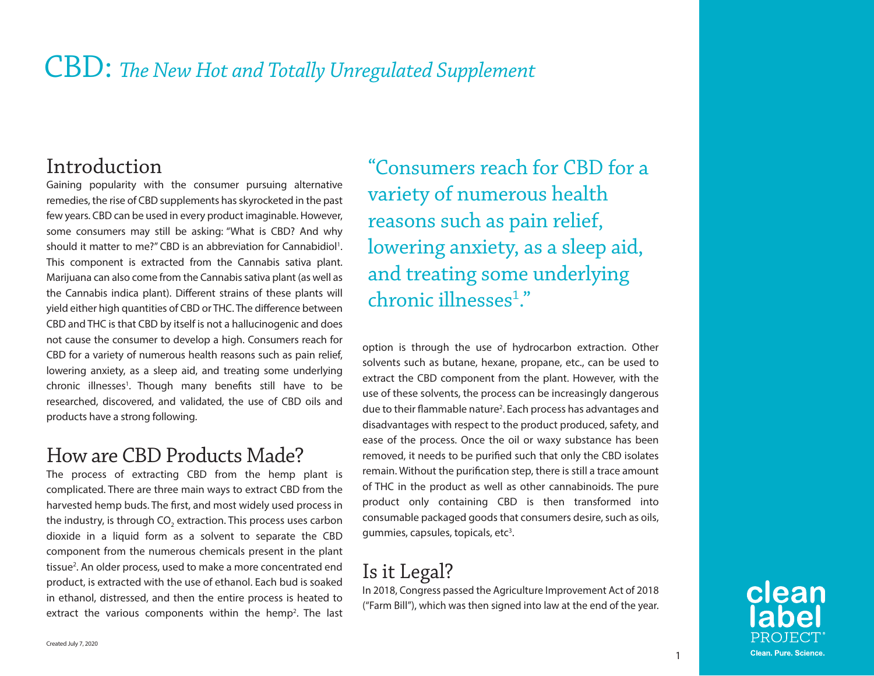# CBD: *e New Hot and Totally Unregulated Supplement*

## Introduction

Gaining popularity with the consumer pursuing alternative remedies, the rise of CBD supplements has skyrocketed in the past few years. CBD can be used in every product imaginable. However, some consumers may still be asking: "What is CBD? And why should it matter to me?" CBD is an abbreviation for Cannabidiol<sup>1</sup>. This component is extracted from the Cannabis sativa plant. Marijuana can also come from the Cannabis sativa plant (as well as the Cannabis indica plant). Different strains of these plants will yield either high quantities of CBD or THC. The difference between CBD and THC is that CBD by itself is not a hallucinogenic and does not cause the consumer to develop a high. Consumers reach for CBD for a variety of numerous health reasons such as pain relief, lowering anxiety, as a sleep aid, and treating some underlying chronic illnesses<sup>1</sup>. Though many benefits still have to be researched, discovered, and validated, the use of CBD oils and products have a strong following.

### How are CBD Products Made?

The process of extracting CBD from the hemp plant is complicated. There are three main ways to extract CBD from the harvested hemp buds. The first, and most widely used process in the industry, is through CO<sub>2</sub> extraction. This process uses carbon dioxide in a liquid form as a solvent to separate the CBD component from the numerous chemicals present in the plant tissue<sup>2</sup>. An older process, used to make a more concentrated end product, is extracted with the use of ethanol. Each bud is soaked in ethanol, distressed, and then the entire process is heated to extract the various components within the hemp<sup>2</sup>. The last

"Consumers reach for CBD for a variety of numerous health reasons such as pain relief, lowering anxiety, as a sleep aid, and treating some underlying chronic illnesses<sup>1</sup>."

option is through the use of hydrocarbon extraction. Other solvents such as butane, hexane, propane, etc., can be used to extract the CBD component from the plant. However, with the use of these solvents, the process can be increasingly dangerous due to their flammable nature<sup>2</sup>. Each process has advantages and disadvantages with respect to the product produced, safety, and ease of the process. Once the oil or waxy substance has been removed, it needs to be purified such that only the CBD isolates remain. Without the purification step, there is still a trace amount of THC in the product as well as other cannabinoids. The pure product only containing CBD is then transformed into consumable packaged goods that consumers desire, such as oils, gummies, capsules, topicals, etc<sup>3</sup>.

## Is it Legal?

In 2018, Congress passed the Agriculture Improvement Act of 2018 ("Farm Bill"), which was then signed into law at the end of the year.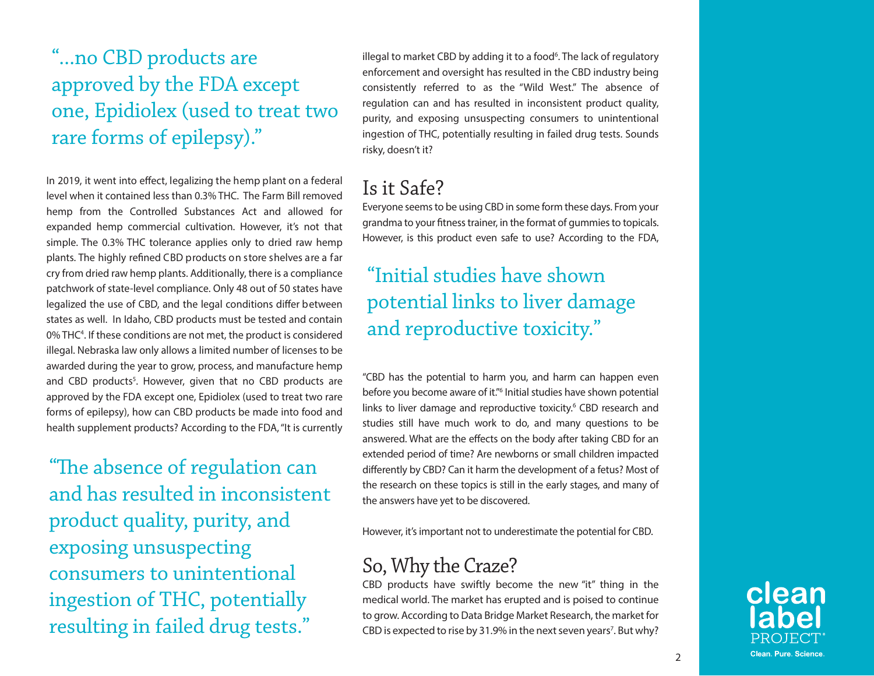# "...no CBD products are approved by the FDA except one, Epidiolex (used to treat two rare forms of epilepsy)."

In 2019, it went into effect, legalizing the hemp plant on a federal level when it contained less than 0.3% THC. The Farm Bill removed hemp from the Controlled Substances Act and allowed for expanded hemp commercial cultivation. However, it's not that simple. The 0.3% THC tolerance applies only to dried raw hemp plants. The highly refined CBD products on store shelves are a far cry from dried raw hemp plants. Additionally, there is a compliance patchwork of state-level compliance. Only 48 out of 50 states have legalized the use of CBD, and the legal conditions differ between states as well. In Idaho, CBD products must be tested and contain 0% THC<sup>4</sup> . If these conditions are not met, the product is considered illegal. Nebraska law only allows a limited number of licenses to be awarded during the year to grow, process, and manufacture hemp and CBD products<sup>5</sup>. However, given that no CBD products are approved by the FDA except one, Epidiolex (used to treat two rare forms of epilepsy), how can CBD products be made into food and health supplement products? According to the FDA, "It is currently

"The absence of regulation can and has resulted in inconsistent product quality, purity, and exposing unsuspecting consumers to unintentional ingestion of THC, potentially resulting in failed drug tests."

illegal to market CBD by adding it to a food<sup>6</sup>. The lack of regulatory enforcement and oversight has resulted in the CBD industry being consistently referred to as the "Wild West." The absence of regulation can and has resulted in inconsistent product quality, purity, and exposing unsuspecting consumers to unintentional ingestion of THC, potentially resulting in failed drug tests. Sounds risky, doesn't it?

### Is it Safe?

Everyone seems to be using CBD in some form these days. From your grandma to your fitness trainer, in the format of gummies to topicals. However, is this product even safe to use? According to the FDA,

# "Initial studies have shown potential links to liver damage and reproductive toxicity."

"CBD has the potential to harm you, and harm can happen even before you become aware of it."6 Initial studies have shown potential links to liver damage and reproductive toxicity.<sup>6</sup> CBD research and studies still have much work to do, and many questions to be answered. What are the effects on the body after taking CBD for an extended period of time? Are newborns or small children impacted differently by CBD? Can it harm the development of a fetus? Most of the research on these topics is still in the early stages, and many of the answers have yet to be discovered.

However, it's important not to underestimate the potential for CBD.

### So, Why the Craze?

CBD products have swiftly become the new "it" thing in the medical world. The market has erupted and is poised to continue to grow. According to Data Bridge Market Research, the market for CBD is expected to rise by 31.9% in the next seven years<sup>7</sup>. But why?

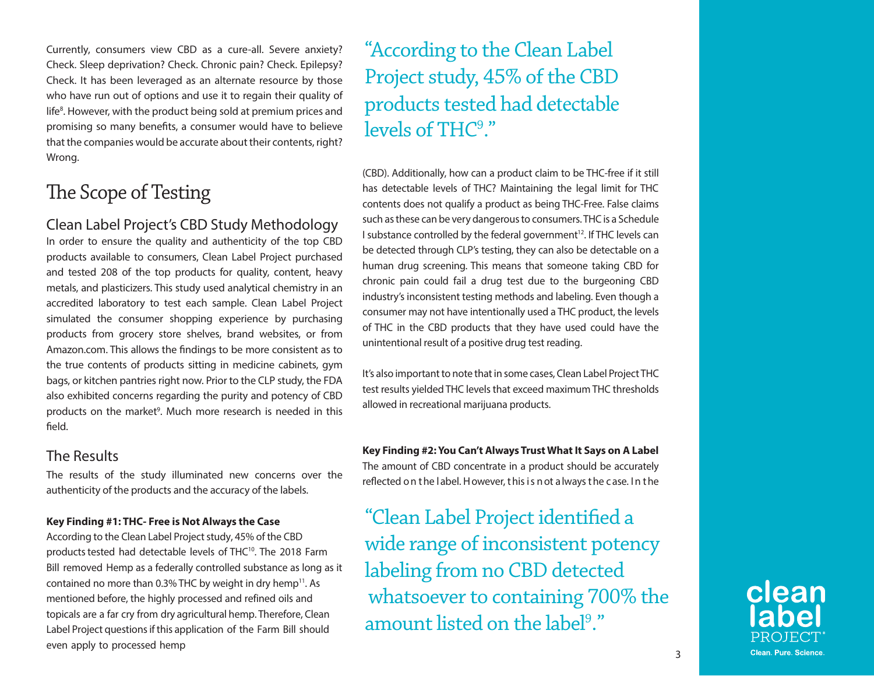Currently, consumers view CBD as a cure-all. Severe anxiety? Check. Sleep deprivation? Check. Chronic pain? Check. Epilepsy? Check. It has been leveraged as an alternate resource by those who have run out of options and use it to regain their quality of life<sup>8</sup>. However, with the product being sold at premium prices and promising so many benefits, a consumer would have to believe that the companies would be accurate about their contents, right? Wrong.

## The Scope of Testing

### Clean Label Project's CBD Study Methodology

In order to ensure the quality and authenticity of the top CBD products available to consumers, Clean Label Project purchased and tested 208 of the top products for quality, content, heavy metals, and plasticizers. This study used analytical chemistry in an accredited laboratory to test each sample. Clean Label Project simulated the consumer shopping experience by purchasing products from grocery store shelves, brand websites, or from Amazon.com. This allows the findings to be more consistent as to the true contents of products sitting in medicine cabinets, gym bags, or kitchen pantries right now. Prior to the CLP study, the FDA also exhibited concerns regarding the purity and potency of CBD products on the market<sup>9</sup>. Much more research is needed in this field.

### The Results

The results of the study illuminated new concerns over the authenticity of the products and the accuracy of the labels.

### **Key Finding #1: THC- Free is Not Always the Case**

According to the Clean Label Project study, 45% of the CBD products tested had detectable levels of THC<sup>10</sup>. The 2018 Farm Bill removed Hemp as a federally controlled substance as long as it contained no more than  $0.3\%$  THC by weight in dry hemp<sup>11</sup>. As mentioned before, the highly processed and refined oils and topicals are a far cry from dry agricultural hemp. Therefore, Clean Label Project questions if this application of the Farm Bill should even apply to processed hemp

"According to the Clean Label Project study, 45% of the CBD products tested had detectable levels of THC<sup>9</sup>."

(CBD). Additionally, how can a product claim to be THC-free if it still has detectable levels of THC? Maintaining the legal limit for THC contents does not qualify a product as being THC-Free. False claims such as these can be very dangerous to consumers. THC is a Schedule I substance controlled by the federal government<sup>12</sup>. If THC levels can be detected through CLP's testing, they can also be detectable on a human drug screening. This means that someone taking CBD for chronic pain could fail a drug test due to the burgeoning CBD industry's inconsistent testing methods and labeling. Even though a consumer may not have intentionally used a THC product, the levels of THC in the CBD products that they have used could have the unintentional result of a positive drug test reading.

It's also important to note that in some cases, Clean Label Project THC test results yielded THC levels that exceed maximum THC thresholds allowed in recreational marijuana products.

**Key Finding #2: You Can't Always Trust What It Says on A Label** The amount of CBD concentrate in a product should be accurately reflected on the label. However, this is not a lways the case. In the

"Clean Label Project identified a wide range of inconsistent potency labeling from no CBD detected whatsoever to containing 700% the amount listed on the label<sup>9</sup> ."

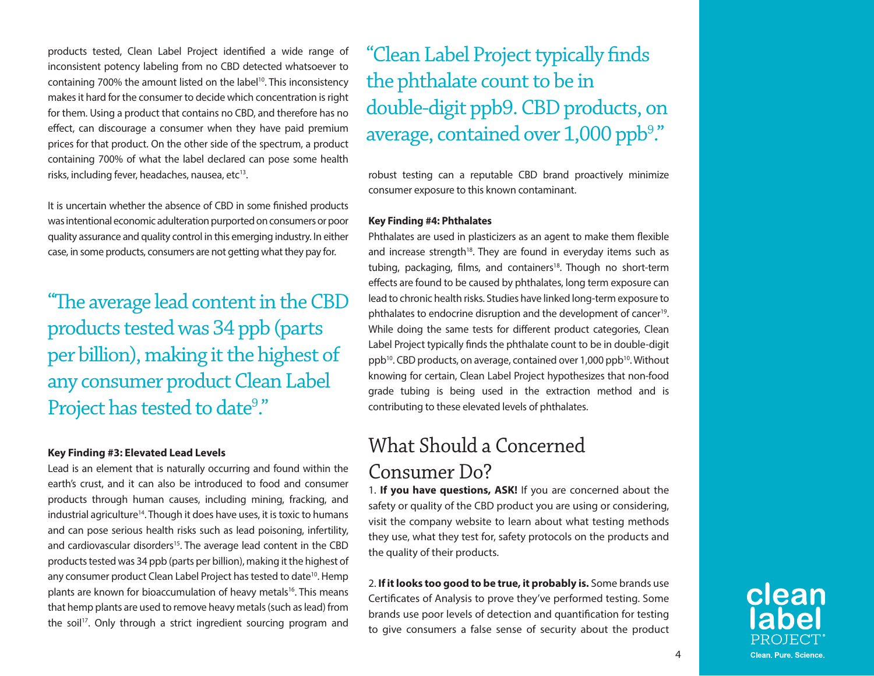products tested, Clean Label Project identified a wide range of inconsistent potency labeling from no CBD detected whatsoever to containing 700% the amount listed on the label<sup>10</sup>. This inconsistency makes it hard for the consumer to decide which concentration is right for them. Using a product that contains no CBD, and therefore has no effect, can discourage a consumer when they have paid premium prices for that product. On the other side of the spectrum, a product containing 700% of what the label declared can pose some health risks, including fever, headaches, nausea, etc $^{13}$ .

It is uncertain whether the absence of CBD in some finished products was intentional economic adulteration purported on consumers or poor quality assurance and quality control in this emerging industry. In either case, in some products, consumers are not getting what they pay for.

"The average lead content in the CBD products tested was 34 ppb (parts per billion), making it the highest of any consumer product Clean Label Project has tested to date<sup>9</sup>."

### **Key Finding #3: Elevated Lead Levels**

Lead is an element that is naturally occurring and found within the earth's crust, and it can also be introduced to food and consumer products through human causes, including mining, fracking, and industrial agriculture<sup>14</sup>. Though it does have uses, it is toxic to humans and can pose serious health risks such as lead poisoning, infertility, and cardiovascular disorders<sup>15</sup>. The average lead content in the CBD products tested was 34 ppb (parts per billion), making it the highest of any consumer product Clean Label Project has tested to date<sup>10</sup>. Hemp plants are known for bioaccumulation of heavy metals<sup>16</sup>. This means that hemp plants are used to remove heavy metals (such as lead) from the soil<sup>17</sup>. Only through a strict ingredient sourcing program and

"Clean Label Project typically finds the phthalate count to be in double-digit ppb9. CBD products, on average, contained over  $1,\!000\,\mathrm{ppb^9."}$ 

robust testing can a reputable CBD brand proactively minimize consumer exposure to this known contaminant.

#### **Key Finding #4: Phthalates**

Phthalates are used in plasticizers as an agent to make them flexible and increase strength $18$ . They are found in everyday items such as tubing, packaging, films, and containers<sup>18</sup>. Though no short-term effects are found to be caused by phthalates, long term exposure can lead to chronic health risks. Studies have linked long-term exposure to phthalates to endocrine disruption and the development of cancer<sup>19</sup>. While doing the same tests for different product categories, Clean Label Project typically finds the phthalate count to be in double-digit ppb<sup>10</sup>. CBD products, on average, contained over 1,000 ppb<sup>10</sup>. Without knowing for certain, Clean Label Project hypothesizes that non-food grade tubing is being used in the extraction method and is contributing to these elevated levels of phthalates.

## What Should a Concerned Consumer Do?

1. **If you have questions, ASK!** If you are concerned about the safety or quality of the CBD product you are using or considering, visit the company website to learn about what testing methods they use, what they test for, safety protocols on the products and the quality of their products.

2. **If it looks too good to be true, it probably is.** Some brands use Certificates of Analysis to prove they've performed testing. Some brands use poor levels of detection and quantification for testing to give consumers a false sense of security about the product

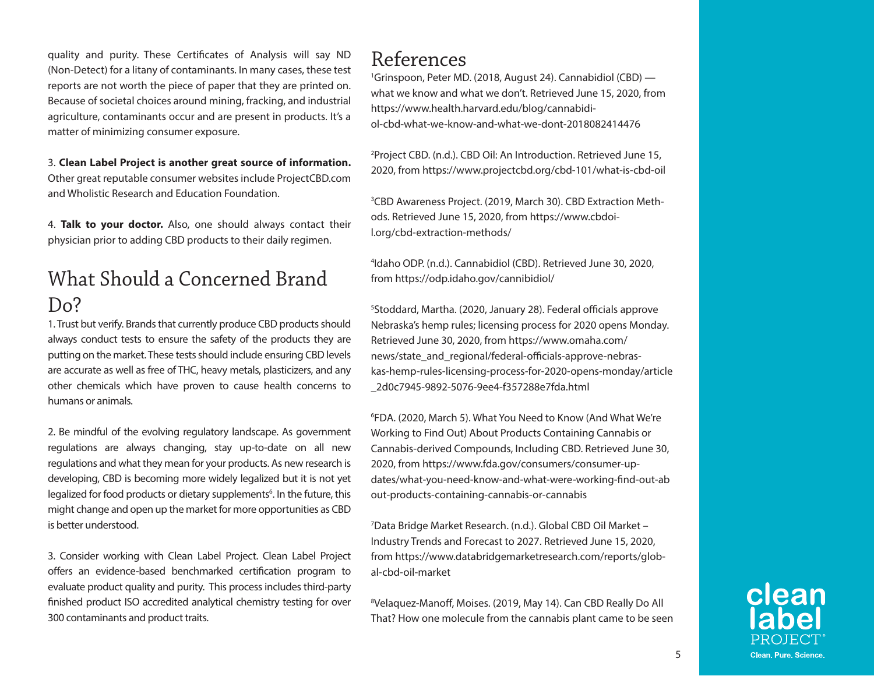quality and purity. These Certificates of Analysis will say ND (Non-Detect) for a litany of contaminants. In many cases, these test reports are not worth the piece of paper that they are printed on. Because of societal choices around mining, fracking, and industrial agriculture, contaminants occur and are present in products. It's a matter of minimizing consumer exposure.

#### 3. **Clean Label Project is another great source of information.**

Other great reputable consumer websites include ProjectCBD.com and Wholistic Research and Education Foundation.

4. **Talk to your doctor.** Also, one should always contact their physician prior to adding CBD products to their daily regimen.

## What Should a Concerned Brand D<sub>o</sub>?

1. Trust but verify. Brands that currently produce CBD products should always conduct tests to ensure the safety of the products they are putting on the market. These tests should include ensuring CBD levels are accurate as well as free of THC, heavy metals, plasticizers, and any other chemicals which have proven to cause health concerns to humans or animals.

2. Be mindful of the evolving regulatory landscape. As government regulations are always changing, stay up-to-date on all new regulations and what they mean for your products. As new research is developing, CBD is becoming more widely legalized but it is not yet legalized for food products or dietary supplements<sup>6</sup>. In the future, this might change and open up the market for more opportunities as CBD is better understood.

3. Consider working with Clean Label Project. Clean Label Project offers an evidence-based benchmarked certification program to evaluate product quality and purity. This process includes third-party nished product ISO accredited analytical chemistry testing for over 300 contaminants and product traits.

### References

<sup>1</sup>Grinspoon, Peter MD. (2018, August 24). Cannabidiol (CBD) what we know and what we don't. Retrieved June 15, 2020, from https://www.health.harvard.edu/blog/cannabidiol-cbd-what-we-know-and-what-we-dont-2018082414476

2 Project CBD. (n.d.). CBD Oil: An Introduction. Retrieved June 15, 2020, from https://www.projectcbd.org/cbd-101/what-is-cbd-oil

3 CBD Awareness Project. (2019, March 30). CBD Extraction Methods. Retrieved June 15, 2020, from https://www.cbdoil.org/cbd-extraction-methods/

4 Idaho ODP. (n.d.). Cannabidiol (CBD). Retrieved June 30, 2020, from https://odp.idaho.gov/cannibidiol/

<sup>5</sup>Stoddard, Martha. (2020, January 28). Federal officials approve Nebraska's hemp rules; licensing process for 2020 opens Monday. Retrieved June 30, 2020, from https://www.omaha.com/ news/state\_and\_regional/federal-officials-approve-nebraskas-hemp-rules-licensing-process-for-2020-opens-monday/article \_2d0c7945-9892-5076-9ee4-f357288e7fda.html

6 FDA. (2020, March 5). What You Need to Know (And What We're Working to Find Out) About Products Containing Cannabis or Cannabis-derived Compounds, Including CBD. Retrieved June 30, 2020, from https://www.fda.gov/consumers/consumer-updates/what-you-need-know-and-what-were-working-find-out-ab out-products-containing-cannabis-or-cannabis

7 Data Bridge Market Research. (n.d.). Global CBD Oil Market – Industry Trends and Forecast to 2027. Retrieved June 15, 2020, from https://www.databridgemarketresearch.com/reports/global-cbd-oil-market

<sup>8</sup>Velaquez-Manoff, Moises. (2019, May 14). Can CBD Really Do All That? How one molecule from the cannabis plant came to be seen